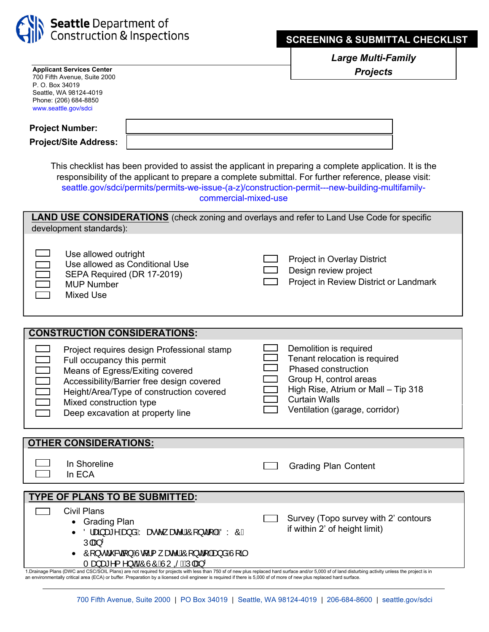

*Large Multi-Family Projects* 

| <b>Applicant Services Center</b><br>700 Fifth Avenue, Suite 2000                                                                                                                                         |                                                 |                                                                                                   |  | <b>Projects</b>                                             |  |  |  |
|----------------------------------------------------------------------------------------------------------------------------------------------------------------------------------------------------------|-------------------------------------------------|---------------------------------------------------------------------------------------------------|--|-------------------------------------------------------------|--|--|--|
| P. O. Box 34019                                                                                                                                                                                          | Seattle, WA 98124-4019                          |                                                                                                   |  |                                                             |  |  |  |
|                                                                                                                                                                                                          | Phone: (206) 684-8850                           |                                                                                                   |  |                                                             |  |  |  |
|                                                                                                                                                                                                          | www.seattle.gov/sdci                            |                                                                                                   |  |                                                             |  |  |  |
| <b>Project Number:</b>                                                                                                                                                                                   |                                                 |                                                                                                   |  |                                                             |  |  |  |
| <b>Project/Site Address:</b>                                                                                                                                                                             |                                                 |                                                                                                   |  |                                                             |  |  |  |
|                                                                                                                                                                                                          |                                                 |                                                                                                   |  |                                                             |  |  |  |
| This checklist has been provided to assist the applicant in preparing a complete application. It is the                                                                                                  |                                                 |                                                                                                   |  |                                                             |  |  |  |
| responsibility of the applicant to prepare a complete submittal. For further reference, please visit:<br>seattle.gov/sdci/permits/permits-we-issue-(a-z)/construction-permit---new-building-multifamily- |                                                 |                                                                                                   |  |                                                             |  |  |  |
| commercial-mixed-use                                                                                                                                                                                     |                                                 |                                                                                                   |  |                                                             |  |  |  |
|                                                                                                                                                                                                          |                                                 |                                                                                                   |  |                                                             |  |  |  |
| <b>LAND USE CONSIDERATIONS</b> (check zoning and overlays and refer to Land Use Code for specific<br>development standards):                                                                             |                                                 |                                                                                                   |  |                                                             |  |  |  |
|                                                                                                                                                                                                          |                                                 |                                                                                                   |  |                                                             |  |  |  |
|                                                                                                                                                                                                          | Use allowed outright                            |                                                                                                   |  |                                                             |  |  |  |
|                                                                                                                                                                                                          |                                                 | Use allowed as Conditional Use                                                                    |  | <b>Project in Overlay District</b><br>Design review project |  |  |  |
|                                                                                                                                                                                                          | SEPA Required (DR 17-2019)<br><b>MUP Number</b> |                                                                                                   |  | Project in Review District or Landmark                      |  |  |  |
|                                                                                                                                                                                                          | <b>Mixed Use</b>                                |                                                                                                   |  |                                                             |  |  |  |
|                                                                                                                                                                                                          |                                                 |                                                                                                   |  |                                                             |  |  |  |
|                                                                                                                                                                                                          |                                                 |                                                                                                   |  |                                                             |  |  |  |
| <b>CONSTRUCTION CONSIDERATIONS:</b>                                                                                                                                                                      |                                                 |                                                                                                   |  |                                                             |  |  |  |
|                                                                                                                                                                                                          |                                                 | Project requires design Professional stamp                                                        |  | Demolition is required                                      |  |  |  |
|                                                                                                                                                                                                          | Full occupancy this permit                      |                                                                                                   |  | Tenant relocation is required                               |  |  |  |
| 1000                                                                                                                                                                                                     |                                                 | Means of Egress/Exiting covered                                                                   |  | <b>Phased construction</b><br>Group H, control areas        |  |  |  |
|                                                                                                                                                                                                          |                                                 | Accessibility/Barrier free design covered<br>Height/Area/Type of construction covered             |  | High Rise, Atrium or Mall - Tip 318                         |  |  |  |
|                                                                                                                                                                                                          | Mixed construction type                         |                                                                                                   |  | <b>Curtain Walls</b>                                        |  |  |  |
|                                                                                                                                                                                                          |                                                 | Deep excavation at property line                                                                  |  | Ventilation (garage, corridor)                              |  |  |  |
|                                                                                                                                                                                                          |                                                 |                                                                                                   |  |                                                             |  |  |  |
| <b>OTHER CONSIDERATIONS:</b>                                                                                                                                                                             |                                                 |                                                                                                   |  |                                                             |  |  |  |
|                                                                                                                                                                                                          |                                                 |                                                                                                   |  |                                                             |  |  |  |
|                                                                                                                                                                                                          | In Shoreline<br>In ECA                          |                                                                                                   |  | <b>Grading Plan Content</b>                                 |  |  |  |
|                                                                                                                                                                                                          |                                                 |                                                                                                   |  |                                                             |  |  |  |
| <b>TYPE OF PLANS TO BE SUBMITTED:</b>                                                                                                                                                                    |                                                 |                                                                                                   |  |                                                             |  |  |  |
|                                                                                                                                                                                                          |                                                 |                                                                                                   |  |                                                             |  |  |  |
|                                                                                                                                                                                                          | <b>Civil Plans</b>                              |                                                                                                   |  |                                                             |  |  |  |
|                                                                                                                                                                                                          | <b>Grading Plan</b>                             |                                                                                                   |  | Survey (Topo survey with 2' contours                        |  |  |  |
|                                                                                                                                                                                                          |                                                 | Ölæn§æ*^Áæ}åÁYæ∙c^ æe^lÁÔ[}d[ ÁQÖYÔD                                                              |  | if within 2' of height limit)                               |  |  |  |
|                                                                                                                                                                                                          | Ú æ} <sup>1</sup>                               | • Ô [} • d`&a [} $\hat{A}$ Jo[ { $\hat{A}$ ane^  $\hat{A}$ O [} d [  $\hat{A}$ a}å $\hat{A}$ J[a] |  |                                                             |  |  |  |

1.Drainage Plans (DWC and CSC/SOIL Plans) are not required for projects with less than 750 sf of new plus replaced hard surface and/or 5,000 sf of land disturbing activity unless the project is in<br>an environmentally critic